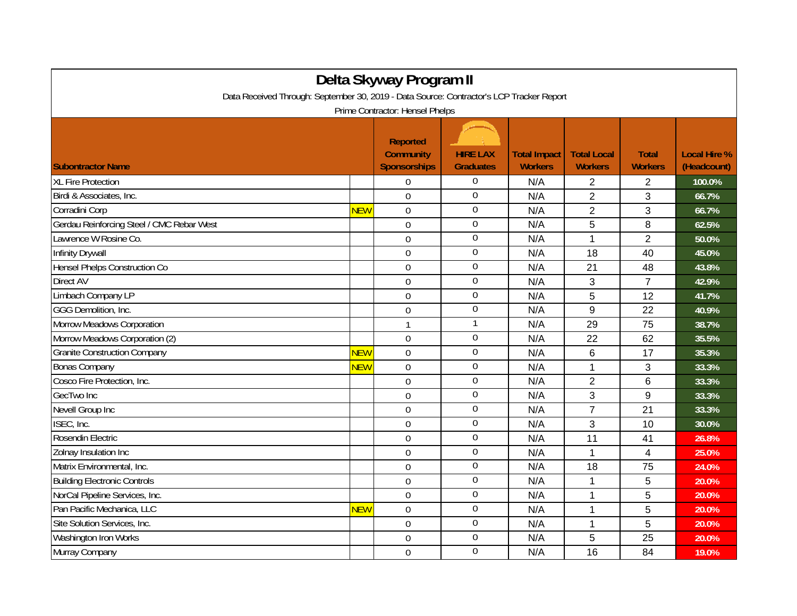| Delta Skyway Program II                                                                                                     |            |                                                            |                                     |                                       |                                      |                                |                                    |  |  |  |  |  |
|-----------------------------------------------------------------------------------------------------------------------------|------------|------------------------------------------------------------|-------------------------------------|---------------------------------------|--------------------------------------|--------------------------------|------------------------------------|--|--|--|--|--|
| Data Received Through: September 30, 2019 - Data Source: Contractor's LCP Tracker Report<br>Prime Contractor: Hensel Phelps |            |                                                            |                                     |                                       |                                      |                                |                                    |  |  |  |  |  |
| <b>Subontractor Name</b>                                                                                                    |            | <b>Reported</b><br><b>Community</b><br><b>Sponsorships</b> | <b>HIRE LAX</b><br><b>Graduates</b> | <b>Total Impact</b><br><b>Workers</b> | <b>Total Local</b><br><b>Workers</b> | <b>Total</b><br><b>Workers</b> | <b>Local Hire %</b><br>(Headcount) |  |  |  |  |  |
| <b>XL Fire Protection</b>                                                                                                   |            | $\overline{0}$                                             | $\boldsymbol{0}$                    | N/A                                   | 2                                    | $\overline{2}$                 | 100.0%                             |  |  |  |  |  |
| Birdi & Associates, Inc.                                                                                                    |            | $\mathbf 0$                                                | $\boldsymbol{0}$                    | N/A                                   | $\overline{2}$                       | 3                              | 66.7%                              |  |  |  |  |  |
| Corradini Corp                                                                                                              | <b>NEW</b> | $\mathbf 0$                                                | $\overline{0}$                      | N/A                                   | $\overline{2}$                       | 3                              | 66.7%                              |  |  |  |  |  |
| Gerdau Reinforcing Steel / CMC Rebar West                                                                                   |            | $\overline{0}$                                             | $\overline{0}$                      | N/A                                   | 5                                    | 8                              | 62.5%                              |  |  |  |  |  |
| Lawrence W Rosine Co.                                                                                                       |            | $\overline{0}$                                             | $\mathbf 0$                         | N/A                                   | 1                                    | $\overline{2}$                 | 50.0%                              |  |  |  |  |  |
| Infinity Drywall                                                                                                            |            | $\Omega$                                                   | $\mathbf 0$                         | N/A                                   | 18                                   | 40                             | 45.0%                              |  |  |  |  |  |
| Hensel Phelps Construction Co                                                                                               |            | $\mathbf 0$                                                | $\mathbf 0$                         | N/A                                   | 21                                   | 48                             | 43.8%                              |  |  |  |  |  |
| Direct AV                                                                                                                   |            | $\mathbf 0$                                                | $\overline{0}$                      | N/A                                   | 3                                    | $\overline{7}$                 | 42.9%                              |  |  |  |  |  |
| Limbach Company LP                                                                                                          |            | $\mathbf 0$                                                | $\boldsymbol{0}$                    | N/A                                   | 5                                    | 12                             | 41.7%                              |  |  |  |  |  |
| GGG Demolition, Inc.                                                                                                        |            | $\mathbf 0$                                                | $\boldsymbol{0}$                    | N/A                                   | 9                                    | 22                             | 40.9%                              |  |  |  |  |  |
| Morrow Meadows Corporation                                                                                                  |            | $\mathbf{1}$                                               | $\mathbf{1}$                        | N/A                                   | 29                                   | 75                             | 38.7%                              |  |  |  |  |  |
| Morrow Meadows Corporation (2)                                                                                              |            | $\Omega$                                                   | $\overline{0}$                      | N/A                                   | 22                                   | 62                             | 35.5%                              |  |  |  |  |  |
| <b>Granite Construction Company</b>                                                                                         | <b>NEW</b> | $\overline{0}$                                             | $\mathbf 0$                         | N/A                                   | $6\phantom{1}$                       | 17                             | 35.3%                              |  |  |  |  |  |
| <b>Bonas Company</b>                                                                                                        | NEW        | $\mathbf 0$                                                | $\boldsymbol{0}$                    | N/A                                   | 1                                    | 3                              | 33.3%                              |  |  |  |  |  |
| Cosco Fire Protection, Inc.                                                                                                 |            | $\overline{0}$                                             | $\mathbf 0$                         | N/A                                   | $\overline{2}$                       | 6                              | 33.3%                              |  |  |  |  |  |
| GecTwo Inc                                                                                                                  |            | $\overline{0}$                                             | $\mathbf 0$                         | N/A                                   | 3                                    | 9                              | 33.3%                              |  |  |  |  |  |
| Nevell Group Inc                                                                                                            |            | $\overline{0}$                                             | $\overline{0}$                      | N/A                                   | $\overline{7}$                       | 21                             | 33.3%                              |  |  |  |  |  |
| ISEC, Inc.                                                                                                                  |            | $\Omega$                                                   | $\mathbf 0$                         | N/A                                   | 3                                    | 10                             | 30.0%                              |  |  |  |  |  |
| Rosendin Electric                                                                                                           |            | $\mathbf 0$                                                | $\mathbf 0$                         | N/A                                   | 11                                   | 41                             | 26.8%                              |  |  |  |  |  |
| Zolnay Insulation Inc                                                                                                       |            | $\mathbf 0$                                                | $\overline{0}$                      | N/A                                   | 1                                    | $\overline{\mathbf{4}}$        | 25.0%                              |  |  |  |  |  |
| Matrix Environmental, Inc.                                                                                                  |            | $\mathbf 0$                                                | $\boldsymbol{0}$                    | N/A                                   | 18                                   | 75                             | 24.0%                              |  |  |  |  |  |
| <b>Building Electronic Controls</b>                                                                                         |            | $\overline{0}$                                             | $\boldsymbol{0}$                    | N/A                                   | 1                                    | 5                              | 20.0%                              |  |  |  |  |  |
| NorCal Pipeline Services, Inc.                                                                                              |            | $\Omega$                                                   | $\overline{0}$                      | N/A                                   | 1                                    | 5                              | 20.0%                              |  |  |  |  |  |
| Pan Pacific Mechanica, LLC                                                                                                  | <b>NEW</b> | $\mathbf 0$                                                | $\overline{0}$                      | N/A                                   | 1                                    | 5                              | 20.0%                              |  |  |  |  |  |
| Site Solution Services, Inc.                                                                                                |            | $\overline{0}$                                             | $\overline{0}$                      | N/A                                   | $\mathbf 1$                          | 5                              | 20.0%                              |  |  |  |  |  |
| Washington Iron Works                                                                                                       |            | 0                                                          | $\boldsymbol{0}$                    | N/A                                   | 5                                    | 25                             | 20.0%                              |  |  |  |  |  |
| Murray Company                                                                                                              |            | $\overline{0}$                                             | $\mathbf 0$                         | N/A                                   | 16                                   | 84                             | 19.0%                              |  |  |  |  |  |